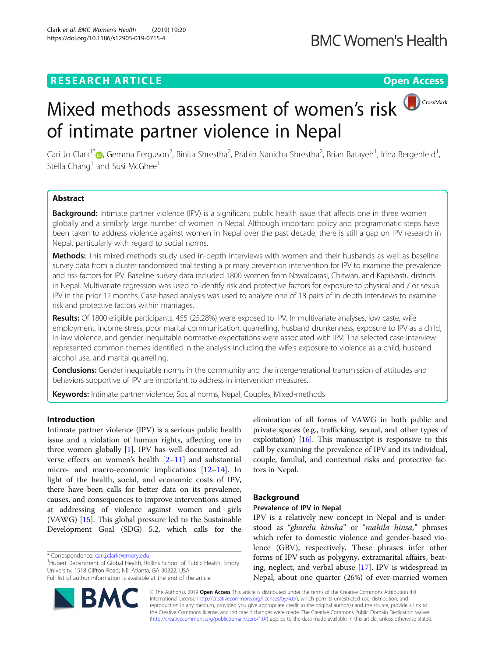## **RESEARCH ARTICLE Example 2018 12:30 THE Open Access**

# Mixed methods assessment of women's risk of intimate partner violence in Nepal

Cari Jo Clark<sup>1\*</sup>®[,](http://orcid.org/0000-0002-9959-5221) Gemma Ferguson<sup>2</sup>, Binita Shrestha<sup>2</sup>, Prabin Nanicha Shrestha<sup>2</sup>, Brian Batayeh<sup>1</sup>, Irina Bergenfeld<sup>1</sup> , Stella Chang<sup>1</sup> and Susi McGhee<sup>1</sup>

## Abstract

Background: Intimate partner violence (IPV) is a significant public health issue that affects one in three women globally and a similarly large number of women in Nepal. Although important policy and programmatic steps have been taken to address violence against women in Nepal over the past decade, there is still a gap on IPV research in Nepal, particularly with regard to social norms.

Methods: This mixed-methods study used in-depth interviews with women and their husbands as well as baseline survey data from a cluster randomized trial testing a primary prevention intervention for IPV to examine the prevalence and risk factors for IPV. Baseline survey data included 1800 women from Nawalparasi, Chitwan, and Kapilvastu districts in Nepal. Multivariate regression was used to identify risk and protective factors for exposure to physical and / or sexual IPV in the prior 12 months. Case-based analysis was used to analyze one of 18 pairs of in-depth interviews to examine risk and protective factors within marriages.

Results: Of 1800 eligible participants, 455 (25.28%) were exposed to IPV. In multivariate analyses, low caste, wife employment, income stress, poor marital communication, quarrelling, husband drunkenness, exposure to IPV as a child, in-law violence, and gender inequitable normative expectations were associated with IPV. The selected case interview represented common themes identified in the analysis including the wife's exposure to violence as a child, husband alcohol use, and marital quarrelling.

Conclusions: Gender inequitable norms in the community and the intergenerational transmission of attitudes and behaviors supportive of IPV are important to address in intervention measures.

Keywords: Intimate partner violence, Social norms, Nepal, Couples, Mixed-methods

## Introduction

Intimate partner violence (IPV) is a serious public health issue and a violation of human rights, affecting one in three women globally [[1\]](#page-6-0). IPV has well-documented adverse effects on women's health [\[2](#page-6-0)–[11\]](#page-6-0) and substantial micro- and macro-economic implications [[12](#page-6-0)–[14\]](#page-7-0). In light of the health, social, and economic costs of IPV, there have been calls for better data on its prevalence, causes, and consequences to improve interventions aimed at addressing of violence against women and girls (VAWG) [\[15\]](#page-7-0). This global pressure led to the Sustainable Development Goal (SDG) 5.2, which calls for the

\* Correspondence: [cari.j.clark@emory.edu](mailto:cari.j.clark@emory.edu) <sup>1</sup>

<sup>1</sup>Hubert Department of Global Health, Rollins School of Public Health, Emory University, 1518 Clifton Road, NE, Atlanta, GA 30322, USA Full list of author information is available at the end of the article

RA

elimination of all forms of VAWG in both public and private spaces (e.g., trafficking, sexual, and other types of exploitation)  $[16]$  $[16]$  $[16]$ . This manuscript is responsive to this call by examining the prevalence of IPV and its individual, couple, familial, and contextual risks and protective factors in Nepal.

## Background

## Prevalence of IPV in Nepal

IPV is a relatively new concept in Nepal and is understood as "gharelu hinsha" or "mahila hinsa," phrases which refer to domestic violence and gender-based violence (GBV), respectively. These phrases infer other forms of IPV such as polygyny, extramarital affairs, beating, neglect, and verbal abuse [\[17\]](#page-7-0). IPV is widespread in Nepal; about one quarter (26%) of ever-married women

© The Author(s). 2019 Open Access This article is distributed under the terms of the Creative Commons Attribution 4.0 International License [\(http://creativecommons.org/licenses/by/4.0/](http://creativecommons.org/licenses/by/4.0/)), which permits unrestricted use, distribution, and reproduction in any medium, provided you give appropriate credit to the original author(s) and the source, provide a link to the Creative Commons license, and indicate if changes were made. The Creative Commons Public Domain Dedication waiver [\(http://creativecommons.org/publicdomain/zero/1.0/](http://creativecommons.org/publicdomain/zero/1.0/)) applies to the data made available in this article, unless otherwise stated.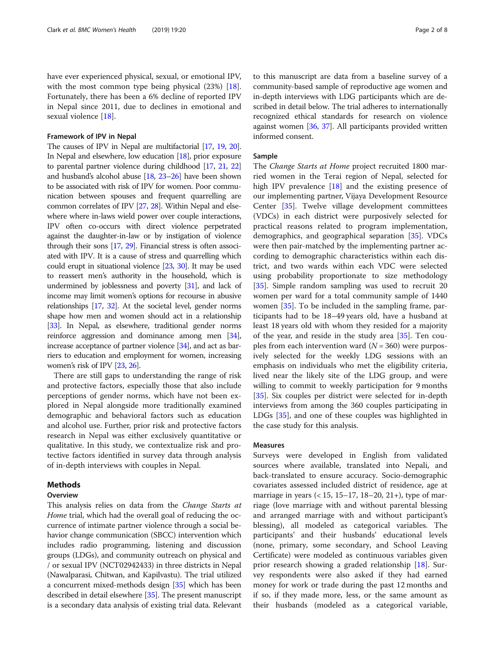have ever experienced physical, sexual, or emotional IPV, with the most common type being physical (23%) [\[18](#page-7-0)]. Fortunately, there has been a 6% decline of reported IPV in Nepal since 2011, due to declines in emotional and sexual violence [\[18](#page-7-0)].

## Framework of IPV in Nepal

The causes of IPV in Nepal are multifactorial [\[17,](#page-7-0) [19](#page-7-0), [20](#page-7-0)]. In Nepal and elsewhere, low education [[18](#page-7-0)], prior exposure to parental partner violence during childhood [[17](#page-7-0), [21](#page-7-0), [22](#page-7-0)] and husband's alcohol abuse [\[18](#page-7-0), [23](#page-7-0)–[26](#page-7-0)] have been shown to be associated with risk of IPV for women. Poor communication between spouses and frequent quarrelling are common correlates of IPV [\[27](#page-7-0), [28\]](#page-7-0). Within Nepal and elsewhere where in-laws wield power over couple interactions, IPV often co-occurs with direct violence perpetrated against the daughter-in-law or by instigation of violence through their sons [\[17,](#page-7-0) [29](#page-7-0)]. Financial stress is often associated with IPV. It is a cause of stress and quarrelling which could erupt in situational violence [\[23,](#page-7-0) [30\]](#page-7-0). It may be used to reassert men's authority in the household, which is undermined by joblessness and poverty [\[31](#page-7-0)], and lack of income may limit women's options for recourse in abusive relationships [\[17,](#page-7-0) [32](#page-7-0)]. At the societal level, gender norms shape how men and women should act in a relationship [[33](#page-7-0)]. In Nepal, as elsewhere, traditional gender norms reinforce aggression and dominance among men [\[34](#page-7-0)], increase acceptance of partner violence [[34](#page-7-0)], and act as barriers to education and employment for women, increasing women's risk of IPV [\[23](#page-7-0), [26](#page-7-0)].

There are still gaps to understanding the range of risk and protective factors, especially those that also include perceptions of gender norms, which have not been explored in Nepal alongside more traditionally examined demographic and behavioral factors such as education and alcohol use. Further, prior risk and protective factors research in Nepal was either exclusively quantitative or qualitative. In this study, we contextualize risk and protective factors identified in survey data through analysis of in-depth interviews with couples in Nepal.

## Methods

## **Overview**

This analysis relies on data from the *Change Starts at* Home trial, which had the overall goal of reducing the occurrence of intimate partner violence through a social behavior change communication (SBCC) intervention which includes radio programming, listening and discussion groups (LDGs), and community outreach on physical and / or sexual IPV (NCT02942433) in three districts in Nepal (Nawalparasi, Chitwan, and Kapilvastu). The trial utilized a concurrent mixed-methods design [[35](#page-7-0)] which has been described in detail elsewhere [\[35\]](#page-7-0). The present manuscript is a secondary data analysis of existing trial data. Relevant to this manuscript are data from a baseline survey of a community-based sample of reproductive age women and in-depth interviews with LDG participants which are described in detail below. The trial adheres to internationally recognized ethical standards for research on violence against women [\[36,](#page-7-0) [37\]](#page-7-0). All participants provided written informed consent.

## Sample

The Change Starts at Home project recruited 1800 married women in the Terai region of Nepal, selected for high IPV prevalence [\[18\]](#page-7-0) and the existing presence of our implementing partner, Vijaya Development Resource Center [\[35](#page-7-0)]. Twelve village development committees (VDCs) in each district were purposively selected for practical reasons related to program implementation, demographics, and geographical separation [\[35](#page-7-0)]. VDCs were then pair-matched by the implementing partner according to demographic characteristics within each district, and two wards within each VDC were selected using probability proportionate to size methodology [[35\]](#page-7-0). Simple random sampling was used to recruit 20 women per ward for a total community sample of 1440 women [\[35\]](#page-7-0). To be included in the sampling frame, participants had to be 18–49 years old, have a husband at least 18 years old with whom they resided for a majority of the year, and reside in the study area  $[35]$  $[35]$ . Ten couples from each intervention ward  $(N = 360)$  were purposively selected for the weekly LDG sessions with an emphasis on individuals who met the eligibility criteria, lived near the likely site of the LDG group, and were willing to commit to weekly participation for 9 months [[35\]](#page-7-0). Six couples per district were selected for in-depth interviews from among the 360 couples participating in LDGs [\[35](#page-7-0)], and one of these couples was highlighted in the case study for this analysis.

#### Measures

Surveys were developed in English from validated sources where available, translated into Nepali, and back-translated to ensure accuracy. Socio-demographic covariates assessed included district of residence, age at marriage in years (< 15, 15–17, 18–20, 21+), type of marriage (love marriage with and without parental blessing and arranged marriage with and without participant's blessing), all modeled as categorical variables. The participants' and their husbands' educational levels (none, primary, some secondary, and School Leaving Certificate) were modeled as continuous variables given prior research showing a graded relationship [[18\]](#page-7-0). Survey respondents were also asked if they had earned money for work or trade during the past 12 months and if so, if they made more, less, or the same amount as their husbands (modeled as a categorical variable,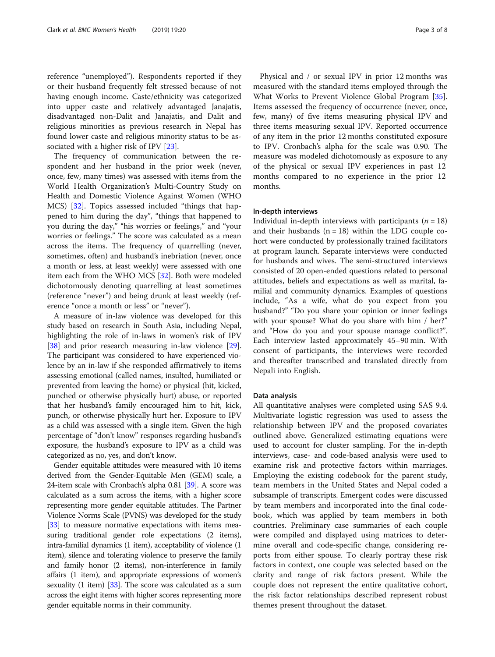reference "unemployed"). Respondents reported if they or their husband frequently felt stressed because of not having enough income. Caste/ethnicity was categorized into upper caste and relatively advantaged Janajatis, disadvantaged non-Dalit and Janajatis, and Dalit and religious minorities as previous research in Nepal has found lower caste and religious minority status to be associated with a higher risk of IPV [\[23](#page-7-0)].

The frequency of communication between the respondent and her husband in the prior week (never, once, few, many times) was assessed with items from the World Health Organization's Multi-Country Study on Health and Domestic Violence Against Women (WHO MCS) [\[32](#page-7-0)]. Topics assessed included "things that happened to him during the day", "things that happened to you during the day," "his worries or feelings," and "your worries or feelings." The score was calculated as a mean across the items. The frequency of quarrelling (never, sometimes, often) and husband's inebriation (never, once a month or less, at least weekly) were assessed with one item each from the WHO MCS [[32\]](#page-7-0). Both were modeled dichotomously denoting quarrelling at least sometimes (reference "never") and being drunk at least weekly (reference "once a month or less" or "never").

A measure of in-law violence was developed for this study based on research in South Asia, including Nepal, highlighting the role of in-laws in women's risk of IPV [[38](#page-7-0)] and prior research measuring in-law violence [[29](#page-7-0)]. The participant was considered to have experienced violence by an in-law if she responded affirmatively to items assessing emotional (called names, insulted, humiliated or prevented from leaving the home) or physical (hit, kicked, punched or otherwise physically hurt) abuse, or reported that her husband's family encouraged him to hit, kick, punch, or otherwise physically hurt her. Exposure to IPV as a child was assessed with a single item. Given the high percentage of "don't know" responses regarding husband's exposure, the husband's exposure to IPV as a child was categorized as no, yes, and don't know.

Gender equitable attitudes were measured with 10 items derived from the Gender-Equitable Men (GEM) scale, a 24-item scale with Cronbach's alpha 0.81 [[39](#page-7-0)]. A score was calculated as a sum across the items, with a higher score representing more gender equitable attitudes. The Partner Violence Norms Scale (PVNS) was developed for the study [[33](#page-7-0)] to measure normative expectations with items measuring traditional gender role expectations (2 items), intra-familial dynamics (1 item), acceptability of violence (1 item), silence and tolerating violence to preserve the family and family honor (2 items), non-interference in family affairs (1 item), and appropriate expressions of women's sexuality (1 item) [\[33\]](#page-7-0). The score was calculated as a sum across the eight items with higher scores representing more gender equitable norms in their community.

Physical and / or sexual IPV in prior 12 months was measured with the standard items employed through the What Works to Prevent Violence Global Program [\[35](#page-7-0)]. Items assessed the frequency of occurrence (never, once, few, many) of five items measuring physical IPV and three items measuring sexual IPV. Reported occurrence of any item in the prior 12 months constituted exposure to IPV. Cronbach's alpha for the scale was 0.90. The measure was modeled dichotomously as exposure to any of the physical or sexual IPV experiences in past 12 months compared to no experience in the prior 12 months.

## In-depth interviews

Individual in-depth interviews with participants ( $n = 18$ ) and their husbands  $(n = 18)$  within the LDG couple cohort were conducted by professionally trained facilitators at program launch. Separate interviews were conducted for husbands and wives. The semi-structured interviews consisted of 20 open-ended questions related to personal attitudes, beliefs and expectations as well as marital, familial and community dynamics. Examples of questions include, "As a wife, what do you expect from you husband?" "Do you share your opinion or inner feelings with your spouse? What do you share with him / her?" and "How do you and your spouse manage conflict?". Each interview lasted approximately 45–90 min. With consent of participants, the interviews were recorded and thereafter transcribed and translated directly from Nepali into English.

### Data analysis

All quantitative analyses were completed using SAS 9.4. Multivariate logistic regression was used to assess the relationship between IPV and the proposed covariates outlined above. Generalized estimating equations were used to account for cluster sampling. For the in-depth interviews, case- and code-based analysis were used to examine risk and protective factors within marriages. Employing the existing codebook for the parent study, team members in the United States and Nepal coded a subsample of transcripts. Emergent codes were discussed by team members and incorporated into the final codebook, which was applied by team members in both countries. Preliminary case summaries of each couple were compiled and displayed using matrices to determine overall and code-specific change, considering reports from either spouse. To clearly portray these risk factors in context, one couple was selected based on the clarity and range of risk factors present. While the couple does not represent the entire qualitative cohort, the risk factor relationships described represent robust themes present throughout the dataset.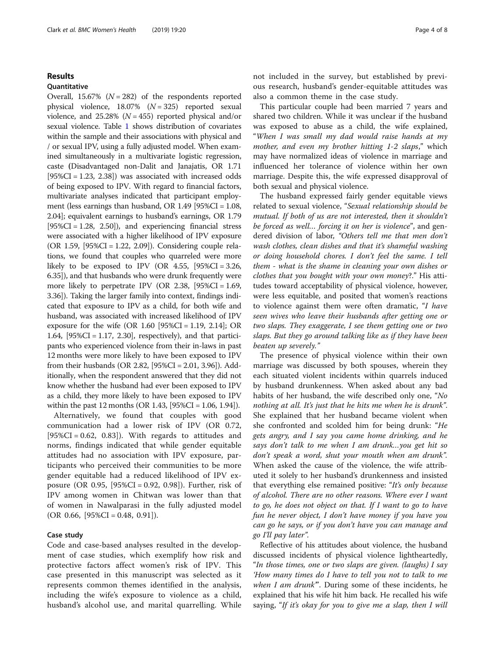## Results

## **Quantitative**

Overall, 15.67%  $(N = 282)$  of the respondents reported physical violence,  $18.07\%$   $(N = 325)$  reported sexual violence, and 25.28% ( $N = 455$ ) reported physical and/or sexual violence. Table [1](#page-4-0) shows distribution of covariates within the sample and their associations with physical and / or sexual IPV, using a fully adjusted model. When examined simultaneously in a multivariate logistic regression, caste (Disadvantaged non-Dalit and Janajatis, OR 1.71  $[95\%CI = 1.23, 2.38]$  was associated with increased odds of being exposed to IPV. With regard to financial factors, multivariate analyses indicated that participant employment (less earnings than husband, OR 1.49 [95%CI = 1.08, 2.04]; equivalent earnings to husband's earnings, OR 1.79  $[95\%CI = 1.28, 2.50]$ , and experiencing financial stress were associated with a higher likelihood of IPV exposure (OR 1.59, [95%CI = 1.22, 2.09]). Considering couple relations, we found that couples who quarreled were more likely to be exposed to IPV (OR  $4.55$ , [95%CI = 3.26, 6.35]), and that husbands who were drunk frequently were more likely to perpetrate IPV (OR 2.38,  $[95\%CI = 1.69]$ , 3.36]). Taking the larger family into context, findings indicated that exposure to IPV as a child, for both wife and husband, was associated with increased likelihood of IPV exposure for the wife (OR  $1.60$  [95%CI = 1.19, 2.14]; OR 1.64, [95%CI = 1.17, 2.30], respectively), and that participants who experienced violence from their in-laws in past 12 months were more likely to have been exposed to IPV from their husbands (OR 2.82, [95%CI = 2.01, 3.96]). Additionally, when the respondent answered that they did not know whether the husband had ever been exposed to IPV as a child, they more likely to have been exposed to IPV within the past 12 months (OR 1.43, [95%CI = 1.06, 1.94]).

Alternatively, we found that couples with good communication had a lower risk of IPV (OR 0.72,  $[95\%CI = 0.62, 0.83]$ . With regards to attitudes and norms, findings indicated that while gender equitable attitudes had no association with IPV exposure, participants who perceived their communities to be more gender equitable had a reduced likelihood of IPV exposure (OR 0.95, [95%CI = 0.92, 0.98]). Further, risk of IPV among women in Chitwan was lower than that of women in Nawalparasi in the fully adjusted model  $(OR$  0.66,  $[95\%CI = 0.48, 0.91]$ .

## Case study

Code and case-based analyses resulted in the development of case studies, which exemplify how risk and protective factors affect women's risk of IPV. This case presented in this manuscript was selected as it represents common themes identified in the analysis, including the wife's exposure to violence as a child, husband's alcohol use, and marital quarrelling. While not included in the survey, but established by previous research, husband's gender-equitable attitudes was also a common theme in the case study.

This particular couple had been married 7 years and shared two children. While it was unclear if the husband was exposed to abuse as a child, the wife explained, "When I was small my dad would raise hands at my mother, and even my brother hitting 1-2 slaps," which may have normalized ideas of violence in marriage and influenced her tolerance of violence within her own marriage. Despite this, the wife expressed disapproval of both sexual and physical violence.

The husband expressed fairly gender equitable views related to sexual violence, "Sexual relationship should be mutual. If both of us are not interested, then it shouldn't be forced as well… forcing it on her is violence", and gendered division of labor, "Others tell me that men don't wash clothes, clean dishes and that it's shameful washing or doing household chores. I don't feel the same. I tell them - what is the shame in cleaning your own dishes or clothes that you bought with your own money?." His attitudes toward acceptability of physical violence, however, were less equitable, and posited that women's reactions to violence against them were often dramatic, "I have seen wives who leave their husbands after getting one or two slaps. They exaggerate, I see them getting one or two slaps. But they go around talking like as if they have been beaten up severely."

The presence of physical violence within their own marriage was discussed by both spouses, wherein they each situated violent incidents within quarrels induced by husband drunkenness. When asked about any bad habits of her husband, the wife described only one, "No nothing at all. It's just that he hits me when he is drunk". She explained that her husband became violent when she confronted and scolded him for being drunk: "He gets angry, and I say you came home drinking, and he says don't talk to me when I am drunk…you get hit so don't speak a word, shut your mouth when am drunk". When asked the cause of the violence, the wife attributed it solely to her husband's drunkenness and insisted that everything else remained positive: "It's only because of alcohol. There are no other reasons. Where ever I want to go, he does not object on that. If I want to go to have fun he never object, I don't have money if you have you can go he says, or if you don't have you can manage and go I'll pay later".

Reflective of his attitudes about violence, the husband discussed incidents of physical violence lightheartedly, "In those times, one or two slaps are given. (laughs) I say 'How many times do I have to tell you not to talk to me when  $I$  am drunk". During some of these incidents, he explained that his wife hit him back. He recalled his wife saying, "If it's okay for you to give me a slap, then I will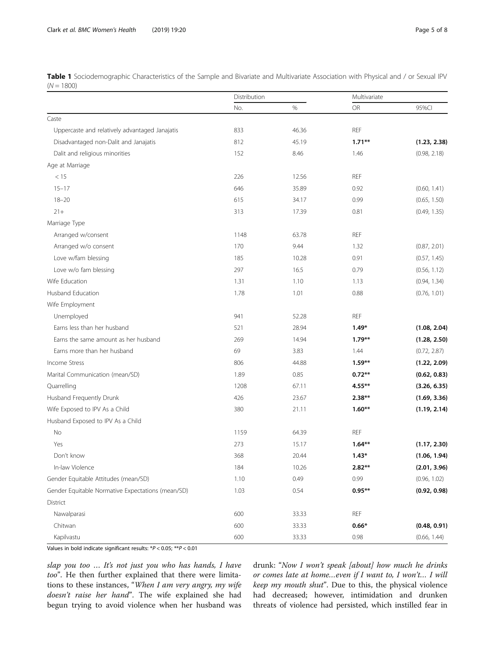<span id="page-4-0"></span>Table 1 Sociodemographic Characteristics of the Sample and Bivariate and Multivariate Association with Physical and / or Sexual IPV  $(N = 1800)$ 

|                                                   | Distribution |       | Multivariate |              |
|---------------------------------------------------|--------------|-------|--------------|--------------|
|                                                   | No.          | $\%$  | <b>OR</b>    | 95%CI        |
| Caste                                             |              |       |              |              |
| Uppercaste and relatively advantaged Janajatis    | 833          | 46.36 | <b>REF</b>   |              |
| Disadvantaged non-Dalit and Janajatis             | 812          | 45.19 | $1.71**$     | (1.23, 2.38) |
| Dalit and religious minorities                    | 152          | 8.46  | 1.46         | (0.98, 2.18) |
| Age at Marriage                                   |              |       |              |              |
| < 15                                              | 226          | 12.56 | <b>REF</b>   |              |
| $15 - 17$                                         | 646          | 35.89 | 0.92         | (0.60, 1.41) |
| $18 - 20$                                         | 615          | 34.17 | 0.99         | (0.65, 1.50) |
| $21+$                                             | 313          | 17.39 | 0.81         | (0.49, 1.35) |
| Marriage Type                                     |              |       |              |              |
| Arranged w/consent                                | 1148         | 63.78 | <b>REF</b>   |              |
| Arranged w/o consent                              | 170          | 9.44  | 1.32         | (0.87, 2.01) |
| Love w/fam blessing                               | 185          | 10.28 | 0.91         | (0.57, 1.45) |
| Love w/o fam blessing                             | 297          | 16.5  | 0.79         | (0.56, 1.12) |
| Wife Education                                    | 1.31         | 1.10  | 1.13         | (0.94, 1.34) |
| Husband Education                                 | 1.78         | 1.01  | 0.88         | (0.76, 1.01) |
| Wife Employment                                   |              |       |              |              |
| Unemployed                                        | 941          | 52.28 | <b>REF</b>   |              |
| Earns less than her husband                       | 521          | 28.94 | $1.49*$      | (1.08, 2.04) |
| Earns the same amount as her husband              | 269          | 14.94 | $1.79***$    | (1.28, 2.50) |
| Earns more than her husband                       | 69           | 3.83  | 1.44         | (0.72, 2.87) |
| Income Stress                                     | 806          | 44.88 | $1.59***$    | (1.22, 2.09) |
| Marital Communication (mean/SD)                   | 1.89         | 0.85  | $0.72**$     | (0.62, 0.83) |
| Quarrelling                                       | 1208         | 67.11 | $4.55**$     | (3.26, 6.35) |
| Husband Frequently Drunk                          | 426          | 23.67 | $2.38**$     | (1.69, 3.36) |
| Wife Exposed to IPV As a Child                    | 380          | 21.11 | $1.60**$     | (1.19, 2.14) |
| Husband Exposed to IPV As a Child                 |              |       |              |              |
| No                                                | 1159         | 64.39 | <b>REF</b>   |              |
| Yes                                               | 273          | 15.17 | $1.64***$    | (1.17, 2.30) |
| Don't know                                        | 368          | 20.44 | $1.43*$      | (1.06, 1.94) |
| In-law Violence                                   | 184          | 10.26 | $2.82**$     | (2.01, 3.96) |
| Gender Equitable Attitudes (mean/SD)              | 1.10         | 0.49  | 0.99         | (0.96, 1.02) |
| Gender Equitable Normative Expectations (mean/SD) | 1.03         | 0.54  | $0.95**$     | (0.92, 0.98) |
| District                                          |              |       |              |              |
| Nawalparasi                                       | 600          | 33.33 | <b>REF</b>   |              |
| Chitwan                                           | 600          | 33.33 | $0.66*$      | (0.48, 0.91) |
| Kapilvastu                                        | 600          | 33.33 | 0.98         | (0.66, 1.44) |

Values in bold indicate significant results: \*P < 0.05; \*\*P < 0.01

slap you too … It's not just you who has hands, I have too". He then further explained that there were limitations to these instances, "When I am very angry, my wife doesn't raise her hand". The wife explained she had begun trying to avoid violence when her husband was drunk: "Now I won't speak [about] how much he drinks or comes late at home…even if I want to, I won't… I will keep my mouth shut". Due to this, the physical violence had decreased; however, intimidation and drunken threats of violence had persisted, which instilled fear in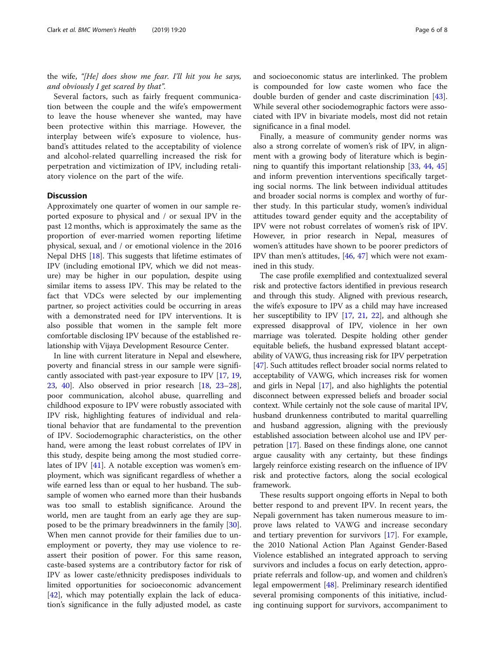the wife, "[He] does show me fear. I'll hit you he says, and obviously I get scared by that".

Several factors, such as fairly frequent communication between the couple and the wife's empowerment to leave the house whenever she wanted, may have been protective within this marriage. However, the interplay between wife's exposure to violence, husband's attitudes related to the acceptability of violence and alcohol-related quarrelling increased the risk for perpetration and victimization of IPV, including retaliatory violence on the part of the wife.

## **Discussion**

Approximately one quarter of women in our sample reported exposure to physical and / or sexual IPV in the past 12 months, which is approximately the same as the proportion of ever-married women reporting lifetime physical, sexual, and / or emotional violence in the 2016 Nepal DHS [\[18](#page-7-0)]. This suggests that lifetime estimates of IPV (including emotional IPV, which we did not measure) may be higher in our population, despite using similar items to assess IPV. This may be related to the fact that VDCs were selected by our implementing partner, so project activities could be occurring in areas with a demonstrated need for IPV interventions. It is also possible that women in the sample felt more comfortable disclosing IPV because of the established relationship with Vijaya Development Resource Center.

In line with current literature in Nepal and elsewhere, poverty and financial stress in our sample were significantly associated with past-year exposure to IPV [\[17](#page-7-0), [19](#page-7-0), [23,](#page-7-0) [40\]](#page-7-0). Also observed in prior research [\[18](#page-7-0), [23](#page-7-0)–[28](#page-7-0)], poor communication, alcohol abuse, quarrelling and childhood exposure to IPV were robustly associated with IPV risk, highlighting features of individual and relational behavior that are fundamental to the prevention of IPV. Sociodemographic characteristics, on the other hand, were among the least robust correlates of IPV in this study, despite being among the most studied correlates of IPV [\[41\]](#page-7-0). A notable exception was women's employment, which was significant regardless of whether a wife earned less than or equal to her husband. The subsample of women who earned more than their husbands was too small to establish significance. Around the world, men are taught from an early age they are supposed to be the primary breadwinners in the family [\[30](#page-7-0)]. When men cannot provide for their families due to unemployment or poverty, they may use violence to reassert their position of power. For this same reason, caste-based systems are a contributory factor for risk of IPV as lower caste/ethnicity predisposes individuals to limited opportunities for socioeconomic advancement [[42\]](#page-7-0), which may potentially explain the lack of education's significance in the fully adjusted model, as caste and socioeconomic status are interlinked. The problem is compounded for low caste women who face the double burden of gender and caste discrimination [\[43](#page-7-0)]. While several other sociodemographic factors were associated with IPV in bivariate models, most did not retain significance in a final model.

Finally, a measure of community gender norms was also a strong correlate of women's risk of IPV, in alignment with a growing body of literature which is beginning to quantify this important relationship [\[33,](#page-7-0) [44,](#page-7-0) [45](#page-7-0)] and inform prevention interventions specifically targeting social norms. The link between individual attitudes and broader social norms is complex and worthy of further study. In this particular study, women's individual attitudes toward gender equity and the acceptability of IPV were not robust correlates of women's risk of IPV. However, in prior research in Nepal, measures of women's attitudes have shown to be poorer predictors of IPV than men's attitudes, [\[46,](#page-7-0) [47](#page-7-0)] which were not examined in this study.

The case profile exemplified and contextualized several risk and protective factors identified in previous research and through this study. Aligned with previous research, the wife's exposure to IPV as a child may have increased her susceptibility to IPV [\[17](#page-7-0), [21](#page-7-0), [22](#page-7-0)], and although she expressed disapproval of IPV, violence in her own marriage was tolerated. Despite holding other gender equitable beliefs, the husband expressed blatant acceptability of VAWG, thus increasing risk for IPV perpetration [[47](#page-7-0)]. Such attitudes reflect broader social norms related to acceptability of VAWG, which increases risk for women and girls in Nepal [[17](#page-7-0)], and also highlights the potential disconnect between expressed beliefs and broader social context. While certainly not the sole cause of marital IPV, husband drunkenness contributed to marital quarrelling and husband aggression, aligning with the previously established association between alcohol use and IPV perpetration [[17](#page-7-0)]. Based on these findings alone, one cannot argue causality with any certainty, but these findings largely reinforce existing research on the influence of IPV risk and protective factors, along the social ecological framework.

These results support ongoing efforts in Nepal to both better respond to and prevent IPV. In recent years, the Nepali government has taken numerous measure to improve laws related to VAWG and increase secondary and tertiary prevention for survivors [\[17](#page-7-0)]. For example, the 2010 National Action Plan Against Gender-Based Violence established an integrated approach to serving survivors and includes a focus on early detection, appropriate referrals and follow-up, and women and children's legal empowerment [[48\]](#page-7-0). Preliminary research identified several promising components of this initiative, including continuing support for survivors, accompaniment to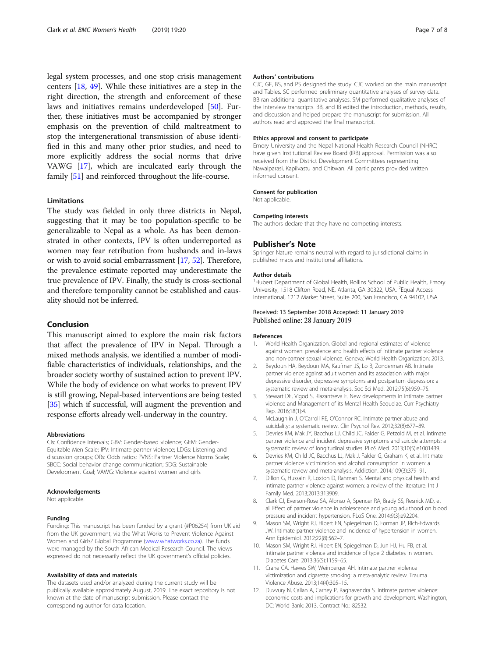<span id="page-6-0"></span>legal system processes, and one stop crisis management centers [[18](#page-7-0), [49\]](#page-7-0). While these initiatives are a step in the right direction, the strength and enforcement of these laws and initiatives remains underdeveloped [\[50\]](#page-7-0). Further, these initiatives must be accompanied by stronger emphasis on the prevention of child maltreatment to stop the intergenerational transmission of abuse identified in this and many other prior studies, and need to more explicitly address the social norms that drive VAWG [[17\]](#page-7-0), which are inculcated early through the family [[51\]](#page-7-0) and reinforced throughout the life-course.

## Limitations

The study was fielded in only three districts in Nepal, suggesting that it may be too population-specific to be generalizable to Nepal as a whole. As has been demonstrated in other contexts, IPV is often underreported as women may fear retribution from husbands and in-laws or wish to avoid social embarrassment [[17](#page-7-0), [52\]](#page-7-0). Therefore, the prevalence estimate reported may underestimate the true prevalence of IPV. Finally, the study is cross-sectional and therefore temporality cannot be established and causality should not be inferred.

## Conclusion

This manuscript aimed to explore the main risk factors that affect the prevalence of IPV in Nepal. Through a mixed methods analysis, we identified a number of modifiable characteristics of individuals, relationships, and the broader society worthy of sustained action to prevent IPV. While the body of evidence on what works to prevent IPV is still growing, Nepal-based interventions are being tested [[35](#page-7-0)] which if successful, will augment the prevention and response efforts already well-underway in the country.

#### Abbreviations

CIs: Confidence intervals; GBV: Gender-based violence; GEM: Gender-Equitable Men Scale; IPV: Intimate partner violence; LDGs: Listening and discussion groups; ORs: Odds ratios; PVNS: Partner Violence Norms Scale; SBCC: Social behavior change communication; SDG: Sustainable Development Goal; VAWG: Violence against women and girls

#### Acknowledgements

Not applicable.

#### Funding

Funding: This manuscript has been funded by a grant (#P06254) from UK aid from the UK government, via the What Works to Prevent Violence Against Women and Girls? Global Programme [\(www.whatworks.co.za](http://www.whatworks.co.za)). The funds were managed by the South African Medical Research Council. The views expressed do not necessarily reflect the UK government's official policies.

#### Availability of data and materials

The datasets used and/or analyzed during the current study will be publically available approximately August, 2019. The exact repository is not known at the date of manuscript submission. Please contact the corresponding author for data location.

#### Authors' contributions

CJC, GF, BS, and PS designed the study. CJC worked on the main manuscript and Tables. SC performed preliminary quantitative analyses of survey data. BB ran additional quantitative analyses. SM performed qualitative analyses of the interview transcripts. BB, and IB edited the introduction, methods, results, and discussion and helped prepare the manuscript for submission. All authors read and approved the final manuscript.

#### Ethics approval and consent to participate

Emory University and the Nepal National Health Research Council (NHRC) have given Institutional Review Board (IRB) approval. Permission was also received from the District Development Committees representing Nawalparasi, Kapilvastu and Chitwan. All participants provided written informed consent.

#### Consent for publication

Not applicable.

#### Competing interests

The authors declare that they have no competing interests.

#### Publisher's Note

Springer Nature remains neutral with regard to jurisdictional claims in published maps and institutional affiliations.

#### Author details

<sup>1</sup>Hubert Department of Global Health, Rollins School of Public Health, Emory University, 1518 Clifton Road, NE, Atlanta, GA 30322, USA. <sup>2</sup>Equal Access International, 1212 Market Street, Suite 200, San Francisco, CA 94102, USA.

### Received: 13 September 2018 Accepted: 11 January 2019 Published online: 28 January 2019

#### References

- 1. World Health Organization. Global and regional estimates of violence against women: prevalence and health effects of intimate partner violence and non-partner sexual violence. Geneva: World Health Organization; 2013.
- 2. Beydoun HA, Beydoun MA, Kaufman JS, Lo B, Zonderman AB. Intimate partner violence against adult women and its association with major depressive disorder, depressive symptoms and postpartum depression: a systematic review and meta-analysis. Soc Sci Med. 2012;75(6):959–75.
- 3. Stewart DE, Vigod S, Riazantseva E. New developments in intimate partner violence and Management of its Mental Health Sequelae. Curr Psychiatry Rep. 2016;18(1):4.
- 4. McLaughlin J, O'Carroll RE, O'Connor RC. Intimate partner abuse and suicidality: a systematic review. Clin Psychol Rev. 2012;32(8):677–89.
- 5. Devries KM, Mak JY, Bacchus LJ, Child JC, Falder G, Petzold M, et al. Intimate partner violence and incident depressive symptoms and suicide attempts: a systematic review of longitudinal studies. PLoS Med. 2013;10(5):e1001439.
- 6. Devries KM, Child JC, Bacchus LJ, Mak J, Falder G, Graham K, et al. Intimate partner violence victimization and alcohol consumption in women: a systematic review and meta-analysis. Addiction. 2014;109(3):379–91.
- 7. Dillon G, Hussain R, Loxton D, Rahman S. Mental and physical health and intimate partner violence against women: a review of the literature. Int J Family Med. 2013;2013:313909.
- 8. Clark CJ, Everson-Rose SA, Alonso A, Spencer RA, Brady SS, Resnick MD, et al. Effect of partner violence in adolescence and young adulthood on blood pressure and incident hypertension. PLoS One. 2014;9(3):e92204.
- 9. Mason SM, Wright RJ, Hibert EN, Spiegelman D, Forman JP, Rich-Edwards JW. Intimate partner violence and incidence of hypertension in women. Ann Epidemiol. 2012;22(8):562–7.
- 10. Mason SM, Wright RJ, Hibert EN, Spiegelman D, Jun HJ, Hu FB, et al. Intimate partner violence and incidence of type 2 diabetes in women. Diabetes Care. 2013;36(5):1159–65.
- 11. Crane CA, Hawes SW, Weinberger AH. Intimate partner violence victimization and cigarette smoking: a meta-analytic review. Trauma Violence Abuse. 2013;14(4):305–15.
- 12. Duvvury N, Callan A, Carney P, Raghavendra S. Intimate partner violence: economic costs and implications for growth and development. Washington, DC: World Bank; 2013. Contract No.: 82532.